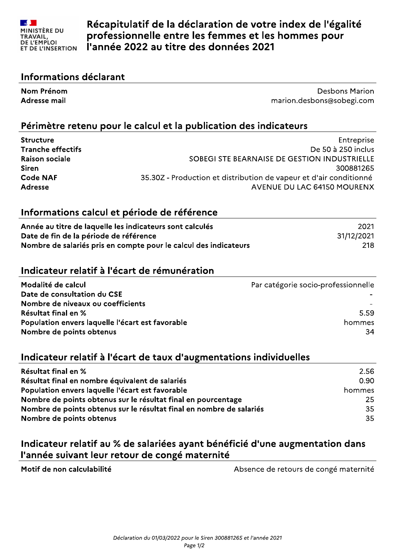

Récapitulatif de la déclaration de votre index de l'égalité professionnelle entre les femmes et les hommes pour l'année 2022 au titre des données 2021

#### Informations déclarant

Nom Prénom **Desbons Marion Adresse mail** marion.desbons@sobegi.com

#### Périmètre retenu pour le calcul et la publication des indicateurs

| <b>Structure</b>         | Entreprise                                                         |
|--------------------------|--------------------------------------------------------------------|
| <b>Tranche effectifs</b> | De 50 à 250 inclus                                                 |
| <b>Raison sociale</b>    | SOBEGI STE BEARNAISE DE GESTION INDUSTRIELLE                       |
| <b>Siren</b>             | 300881265                                                          |
| <b>Code NAF</b>          | 35.30Z - Production et distribution de vapeur et d'air conditionné |
| <b>Adresse</b>           | AVENUE DU LAC 64150 MOURENX                                        |

#### Informations calcul et période de référence

| Année au titre de laquelle les indicateurs sont calculés         | 2021       |
|------------------------------------------------------------------|------------|
| Date de fin de la période de référence                           | 31/12/2021 |
| Nombre de salariés pris en compte pour le calcul des indicateurs | 218        |

#### Indicateur relatif à l'écart de rémunération

| Modalité de calcul                               | Par catégorie socio-professionnelle |
|--------------------------------------------------|-------------------------------------|
| Date de consultation du CSE                      |                                     |
| Nombre de niveaux ou coefficients                |                                     |
| Résultat final en %                              | 5.59                                |
| Population envers laquelle l'écart est favorable | hommes                              |
| Nombre de points obtenus                         | 34                                  |

#### Indicateur relatif à l'écart de taux d'augmentations individuelles

| <b>Résultat final en %</b>                                           | 2.56   |
|----------------------------------------------------------------------|--------|
| Résultat final en nombre équivalent de salariés                      | 0.90   |
| Population envers laquelle l'écart est favorable                     | hommes |
| Nombre de points obtenus sur le résultat final en pourcentage        | 25.    |
| Nombre de points obtenus sur le résultat final en nombre de salariés | 35     |
| Nombre de points obtenus                                             | 35     |

## Indicateur relatif au % de salariées ayant bénéficié d'une augmentation dans l'année suivant leur retour de congé maternité

Motif de non calculabilité

Absence de retours de congé maternité